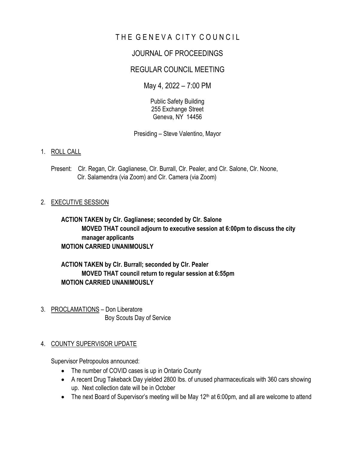# THE GENEVA CITY COUNCIL

# JOURNAL OF PROCEEDINGS

# REGULAR COUNCIL MEETING

May 4, 2022 – 7:00 PM

Public Safety Building 255 Exchange Street Geneva, NY 14456

Presiding – Steve Valentino, Mayor

### 1. ROLL CALL

Present: Clr. Regan, Clr. Gaglianese, Clr. Burrall, Clr. Pealer, and Clr. Salone, Clr. Noone, Clr. Salamendra (via Zoom) and Clr. Camera (via Zoom)

### 2. EXECUTIVE SESSION

**ACTION TAKEN by Clr. Gaglianese; seconded by Clr. Salone MOVED THAT council adjourn to executive session at 6:00pm to discuss the city manager applicants MOTION CARRIED UNANIMOUSLY**

**ACTION TAKEN by Clr. Burrall; seconded by Clr. Pealer MOVED THAT council return to regular session at 6:55pm MOTION CARRIED UNANIMOUSLY** 

3. PROCLAMATIONS – Don Liberatore Boy Scouts Day of Service

#### 4. COUNTY SUPERVISOR UPDATE

Supervisor Petropoulos announced:

- The number of COVID cases is up in Ontario County
- A recent Drug Takeback Day yielded 2800 lbs. of unused pharmaceuticals with 360 cars showing up. Next collection date will be in October
- The next Board of Supervisor's meeting will be May 12<sup>th</sup> at 6:00pm, and all are welcome to attend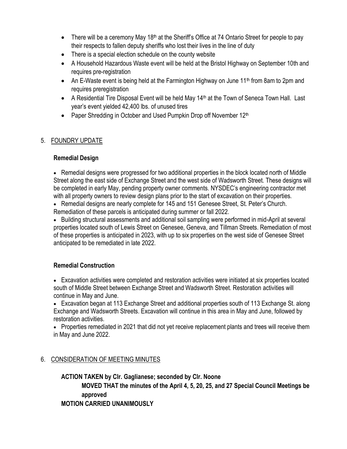- There will be a ceremony May 18<sup>th</sup> at the Sheriff's Office at 74 Ontario Street for people to pay their respects to fallen deputy sheriffs who lost their lives in the line of duty
- There is a special election schedule on the county website
- A Household Hazardous Waste event will be held at the Bristol Highway on September 10th and requires pre-registration
- An E-Waste event is being held at the Farmington Highway on June 11<sup>th</sup> from 8am to 2pm and requires preregistration
- A Residential Tire Disposal Event will be held May 14<sup>th</sup> at the Town of Seneca Town Hall. Last year's event yielded 42,400 lbs. of unused tires
- Paper Shredding in October and Used Pumpkin Drop off November  $12<sup>th</sup>$

# 5. FOUNDRY UPDATE

### **Remedial Design**

• Remedial designs were progressed for two additional properties in the block located north of Middle Street along the east side of Exchange Street and the west side of Wadsworth Street. These designs will be completed in early May, pending property owner comments. NYSDEC's engineering contractor met with all property owners to review design plans prior to the start of excavation on their properties.

• Remedial designs are nearly complete for 145 and 151 Genesee Street, St. Peter's Church. Remediation of these parcels is anticipated during summer or fall 2022.

• Building structural assessments and additional soil sampling were performed in mid-April at several properties located south of Lewis Street on Genesee, Geneva, and Tillman Streets. Remediation of most of these properties is anticipated in 2023, with up to six properties on the west side of Genesee Street anticipated to be remediated in late 2022.

# **Remedial Construction**

• Excavation activities were completed and restoration activities were initiated at six properties located south of Middle Street between Exchange Street and Wadsworth Street. Restoration activities will continue in May and June.

• Excavation began at 113 Exchange Street and additional properties south of 113 Exchange St. along Exchange and Wadsworth Streets. Excavation will continue in this area in May and June, followed by restoration activities.

• Properties remediated in 2021 that did not yet receive replacement plants and trees will receive them in May and June 2022.

# 6. CONSIDERATION OF MEETING MINUTES

**ACTION TAKEN by Clr. Gaglianese; seconded by Clr. Noone MOVED THAT the minutes of the April 4, 5, 20, 25, and 27 Special Council Meetings be approved MOTION CARRIED UNANIMOUSLY**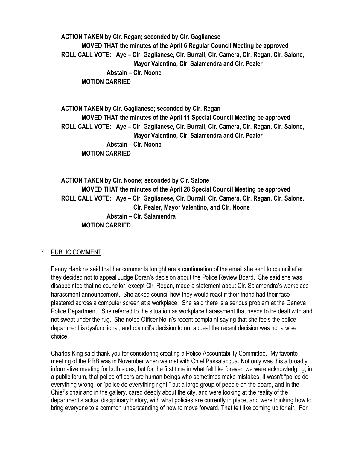**ACTION TAKEN by Clr. Regan; seconded by Clr. Gaglianese MOVED THAT the minutes of the April 6 Regular Council Meeting be approved ROLL CALL VOTE: Aye – Clr. Gaglianese, Clr. Burrall, Clr. Camera, Clr. Regan, Clr. Salone, Mayor Valentino, Clr. Salamendra and Clr. Pealer Abstain – Clr. Noone MOTION CARRIED**

**ACTION TAKEN by Clr. Gaglianese; seconded by Clr. Regan MOVED THAT the minutes of the April 11 Special Council Meeting be approved ROLL CALL VOTE: Aye – Clr. Gaglianese, Clr. Burrall, Clr. Camera, Clr. Regan, Clr. Salone, Mayor Valentino, Clr. Salamendra and Clr. Pealer Abstain – Clr. Noone MOTION CARRIED**

**ACTION TAKEN by Clr. Noone; seconded by Clr. Salone MOVED THAT the minutes of the April 28 Special Council Meeting be approved ROLL CALL VOTE: Aye – Clr. Gaglianese, Clr. Burrall, Clr. Camera, Clr. Regan, Clr. Salone, Clr. Pealer, Mayor Valentino, and Clr. Noone Abstain – Clr. Salamendra MOTION CARRIED**

#### 7. PUBLIC COMMENT

Penny Hankins said that her comments tonight are a continuation of the email she sent to council after they decided not to appeal Judge Doran's decision about the Police Review Board. She said she was disappointed that no councilor, except Clr. Regan, made a statement about Clr. Salamendra's workplace harassment announcement. She asked council how they would react if their friend had their face plastered across a computer screen at a workplace. She said there is a serious problem at the Geneva Police Department. She referred to the situation as workplace harassment that needs to be dealt with and not swept under the rug. She noted Officer Nolin's recent complaint saying that she feels the police department is dysfunctional, and council's decision to not appeal the recent decision was not a wise choice.

Charles King said thank you for considering creating a Police Accountability Committee. My favorite meeting of the PRB was in November when we met with Chief Passalacqua. Not only was this a broadly informative meeting for both sides, but for the first time in what felt like forever, we were acknowledging, in a public forum, that police officers are human beings who sometimes make mistakes. It wasn't "police do everything wrong" or "police do everything right," but a large group of people on the board, and in the Chief's chair and in the gallery, cared deeply about the city, and were looking at the reality of the department's actual disciplinary history, with what policies are currently in place, and were thinking how to bring everyone to a common understanding of how to move forward. That felt like coming up for air. For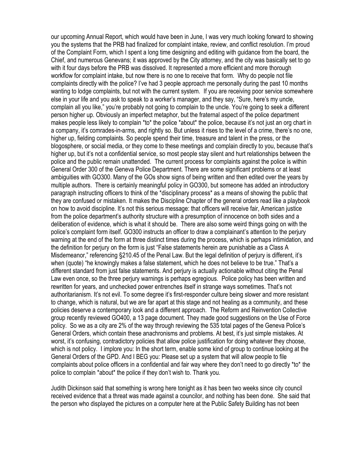our upcoming Annual Report, which would have been in June, I was very much looking forward to showing you the systems that the PRB had finalized for complaint intake, review, and conflict resolution. I'm proud of the Complaint Form, which I spent a long time designing and editing with guidance from the board, the Chief, and numerous Genevans; it was approved by the City attorney, and the city was basically set to go with it four days before the PRB was dissolved. It represented a more efficient and more thorough workflow for complaint intake, but now there is no one to receive that form. Why do people not file complaints directly with the police? I've had 3 people approach me personally during the past 10 months wanting to lodge complaints, but not with the current system. If you are receiving poor service somewhere else in your life and you ask to speak to a worker's manager, and they say, "Sure, here's my uncle, complain all you like," you're probably not going to complain to the uncle. You're going to seek a different person higher up. Obviously an imperfect metaphor, but the fraternal aspect of the police department makes people less likely to complain \*to\* the police \*about\* the police, because it's not just an org chart in a company, it's comrades-in-arms, and rightly so. But unless it rises to the level of a crime, there's no one, higher up, fielding complaints. So people spend their time, treasure and talent in the press, or the blogosphere, or social media, or they come to these meetings and complain directly to you, because that's higher up, but it's not a confidential service, so most people stay silent and hurt relationships between the police and the public remain unattended. The current process for complaints against the police is within General Order 300 of the Geneva Police Department. There are some significant problems or at least ambiguities with GO300. Many of the GOs show signs of being written and then edited over the years by multiple authors. There is certainly meaningful policy in GO300, but someone has added an introductory paragraph instructing officers to think of the \*disciplinary process\* as a means of showing the public that they are confused or mistaken. It makes the Discipline Chapter of the general orders read like a playbook on how to avoid discipline. It's not this serious message: that officers will receive fair, American justice from the police department's authority structure with a presumption of innocence on both sides and a deliberation of evidence, which is what it should be. There are also some weird things going on with the police's complaint form itself. GO300 instructs an officer to draw a complainant's attention to the perjury warning at the end of the form at three distinct times during the process, which is perhaps intimidation, and the definition for perjury on the form is just "False statements herein are punishable as a Class A Misdemeanor," referencing §210.45 of the Penal Law. But the legal definition of perjury is different, it's when (quote) "he knowingly makes a false statement, which he does not believe to be true." That's a different standard from just false statements. And perjury is actually actionable without citing the Penal Law even once, so the three perjury warnings is perhaps egregious. Police policy has been written and rewritten for years, and unchecked power entrenches itself in strange ways sometimes. That's not authoritarianism. It's not evil. To some degree it's first-responder culture being slower and more resistant to change, which is natural, but we are far apart at this stage and not healing as a community, and these policies deserve a contemporary look and a different approach. The Reform and Reinvention Collective group recently reviewed GO400, a 13 page document. They made good suggestions on the Use of Force policy. So we as a city are 2% of the way through reviewing the 535 total pages of the Geneva Police's General Orders, which contain these anachronisms and problems. At best, it's just simple mistakes. At worst, it's confusing, contradictory policies that allow police justification for doing whatever they choose, which is not policy. I implore you: In the short term, enable some kind of group to continue looking at the General Orders of the GPD. And I BEG you: Please set up a system that will allow people to file complaints about police officers in a confidential and fair way where they don't need to go directly \*to\* the police to complain \*about\* the police if they don't wish to. Thank you.

Judith Dickinson said that something is wrong here tonight as it has been two weeks since city council received evidence that a threat was made against a councilor, and nothing has been done. She said that the person who displayed the pictures on a computer here at the Public Safety Building has not been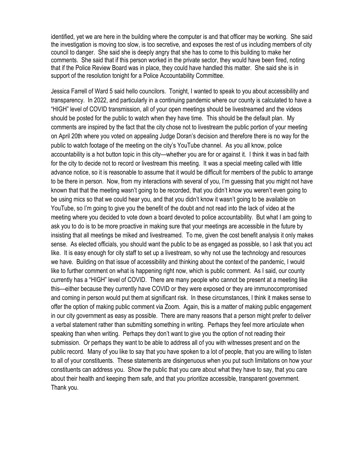identified, yet we are here in the building where the computer is and that officer may be working. She said the investigation is moving too slow, is too secretive, and exposes the rest of us including members of city council to danger. She said she is deeply angry that she has to come to this building to make her comments. She said that if this person worked in the private sector, they would have been fired, noting that if the Police Review Board was in place, they could have handled this matter. She said she is in support of the resolution tonight for a Police Accountability Committee.

Jessica Farrell of Ward 5 said hello councilors. Tonight, I wanted to speak to you about accessibility and transparency. In 2022, and particularly in a continuing pandemic where our county is calculated to have a "HIGH" level of COVID transmission, all of your open meetings should be livestreamed and the videos should be posted for the public to watch when they have time. This should be the default plan. My comments are inspired by the fact that the city chose not to livestream the public portion of your meeting on April 20th where you voted on appealing Judge Doran's decision and therefore there is no way for the public to watch footage of the meeting on the city's YouTube channel. As you all know, police accountability is a hot button topic in this city—whether you are for or against it. I think it was in bad faith for the city to decide not to record or livestream this meeting. It was a special meeting called with little advance notice, so it is reasonable to assume that it would be difficult for members of the public to arrange to be there in person. Now, from my interactions with several of you, I'm guessing that you might not have known that that the meeting wasn't going to be recorded, that you didn't know you weren't even going to be using mics so that we could hear you, and that you didn't know it wasn't going to be available on YouTube, so I'm going to give you the benefit of the doubt and not read into the lack of video at the meeting where you decided to vote down a board devoted to police accountability. But what I am going to ask you to do is to be more proactive in making sure that your meetings are accessible in the future by insisting that all meetings be miked and livestreamed. To me, given the cost benefit analysis it only makes sense. As elected officials, you should want the public to be as engaged as possible, so I ask that you act like. It is easy enough for city staff to set up a livestream, so why not use the technology and resources we have. Building on that issue of accessibility and thinking about the context of the pandemic, I would like to further comment on what is happening right now, which is public comment. As I said, our county currently has a "HIGH" level of COVID. There are many people who cannot be present at a meeting like this—either because they currently have COVID or they were exposed or they are immunocompromised and coming in person would put them at significant risk. In these circumstances, I think it makes sense to offer the option of making public comment via Zoom. Again, this is a matter of making public engagement in our city government as easy as possible. There are many reasons that a person might prefer to deliver a verbal statement rather than submitting something in writing. Perhaps they feel more articulate when speaking than when writing. Perhaps they don't want to give you the option of not reading their submission. Or perhaps they want to be able to address all of you with witnesses present and on the public record. Many of you like to say that you have spoken to a lot of people, that you are willing to listen to all of your constituents. These statements are disingenuous when you put such limitations on how your constituents can address you. Show the public that you care about what they have to say, that you care about their health and keeping them safe, and that you prioritize accessible, transparent government. Thank you.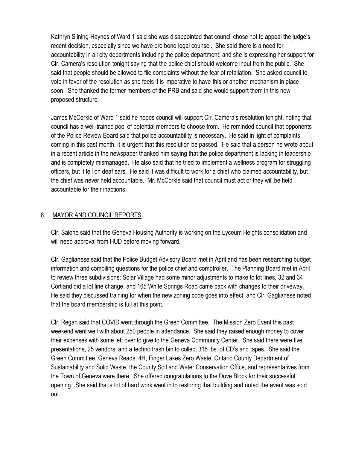Kathryn Slining-Haynes of Ward 1 said she was disappointed that council chose not to appeal the judge's recent decision, especially since we have pro bono legal counsel. She said there is a need for accountability in all city departments including the police department, and she is expressing her support for Clr. Camera's resolution tonight saying that the police chief should welcome input from the public. She said that people should be allowed to file complaints without the fear of retaliation. She asked council to vote in favor of the resolution as she feels it is imperative to have this or another mechanism in place soon. She thanked the former members of the PRB and said she would support them in this new proposed structure.

James McCorkle of Ward 1 said he hopes council will support Clr. Camera's resolution tonight, noting that council has a well-trained pool of potential members to choose from. He reminded council that opponents of the Police Review Board said that police accountability is necessary. He said in light of complaints coming in this past month, it is urgent that this resolution be passed. He said that a person he wrote about in a recent article in the newspaper thanked him saying that the police department is lacking in leadership and is completely mismanaged. He also said that he tried to implement a wellness program for struggling officers, but it fell on deaf ears. He said it was difficult to work for a chief who claimed accountability, but the chief was never held accountable. Mr. McCorkle said that council must act or they will be held accountable for their inactions.

# 8. MAYOR AND COUNCIL REPORTS

Clr. Salone said that the Geneva Housing Authority is working on the Lyceum Heights consolidation and will need approval from HUD before moving forward.

Clr. Gaglianese said that the Police Budget Advisory Board met in April and has been researching budget information and compiling questions for the police chief and comptroller. The Planning Board met in April to review three subdivisions; Solar Village had some minor adjustments to make to lot lines, 32 and 34 Cortland did a lot line change, and 165 White Springs Road came back with changes to their driveway. He said they discussed training for when the new zoning code goes into effect, and Clr. Gaglianese noted that the board membership is full at this point.

Clr. Regan said that COVID went through the Green Committee. The Mission Zero Event this past weekend went well with about 250 people in attendance. She said they raised enough money to cover their expenses with some left over to give to the Geneva Community Center. She said there were five presentations, 25 vendors, and a techno trash bin to collect 315 lbs. of CD's and tapes. She said the Green Committee, Geneva Reads, 4H, Finger Lakes Zero Waste, Ontario County Department of Sustainability and Solid Waste, the County Soil and Water Conservation Office, and representatives from the Town of Geneva were there. She offered congratulations to the Dove Block for their successful opening. She said that a lot of hard work went in to restoring that building and noted the event was sold out.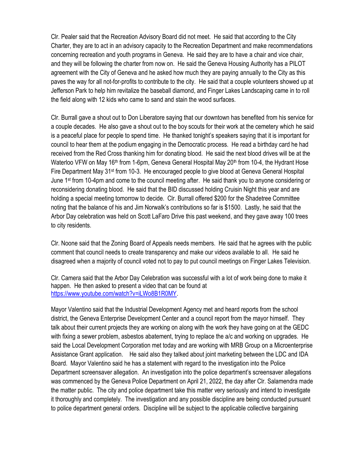Clr. Pealer said that the Recreation Advisory Board did not meet. He said that according to the City Charter, they are to act in an advisory capacity to the Recreation Department and make recommendations concerning recreation and youth programs in Geneva. He said they are to have a chair and vice chair, and they will be following the charter from now on. He said the Geneva Housing Authority has a PILOT agreement with the City of Geneva and he asked how much they are paying annually to the City as this paves the way for all not-for-profits to contribute to the city. He said that a couple volunteers showed up at Jefferson Park to help him revitalize the baseball diamond, and Finger Lakes Landscaping came in to roll the field along with 12 kids who came to sand and stain the wood surfaces.

Clr. Burrall gave a shout out to Don Liberatore saying that our downtown has benefited from his service for a couple decades. He also gave a shout out to the boy scouts for their work at the cemetery which he said is a peaceful place for people to spend time. He thanked tonight's speakers saying that it is important for council to hear them at the podium engaging in the Democratic process. He read a birthday card he had received from the Red Cross thanking him for donating blood. He said the next blood drives will be at the Waterloo VFW on May 16<sup>th</sup> from 1-6pm, Geneva General Hospital May 20<sup>th</sup> from 10-4, the Hydrant Hose Fire Department May 31st from 10-3. He encouraged people to give blood at Geneva General Hospital June 1st from 10-4pm and come to the council meeting after. He said thank you to anyone considering or reconsidering donating blood. He said that the BID discussed holding Cruisin Night this year and are holding a special meeting tomorrow to decide. Clr. Burrall offered \$200 for the Shadetree Committee noting that the balance of his and Jim Norwalk's contributions so far is \$1500. Lastly, he said that the Arbor Day celebration was held on Scott LaFaro Drive this past weekend, and they gave away 100 trees to city residents.

Clr. Noone said that the Zoning Board of Appeals needs members. He said that he agrees with the public comment that council needs to create transparency and make our videos available to all. He said he disagreed when a majority of council voted not to pay to put council meetings on Finger Lakes Television.

Clr. Camera said that the Arbor Day Celebration was successful with a lot of work being done to make it happen. He then asked to present a video that can be found at [https://www.youtube.com/watch?v=iLWo8B1R0MY.](https://www.youtube.com/watch?v=iLWo8B1R0MY)

Mayor Valentino said that the Industrial Development Agency met and heard reports from the school district, the Geneva Enterprise Development Center and a council report from the mayor himself. They talk about their current projects they are working on along with the work they have going on at the GEDC with fixing a sewer problem, asbestos abatement, trying to replace the a/c and working on upgrades. He said the Local Development Corporation met today and are working with MRB Group on a Microenterprise Assistance Grant application. He said also they talked about joint marketing between the LDC and IDA Board. Mayor Valentino said he has a statement with regard to the investigation into the Police Department screensaver allegation. An investigation into the police department's screensaver allegations was commenced by the Geneva Police Department on April 21, 2022, the day after Clr. Salamendra made the matter public. The city and police department take this matter very seriously and intend to investigate it thoroughly and completely. The investigation and any possible discipline are being conducted pursuant to police department general orders. Discipline will be subject to the applicable collective bargaining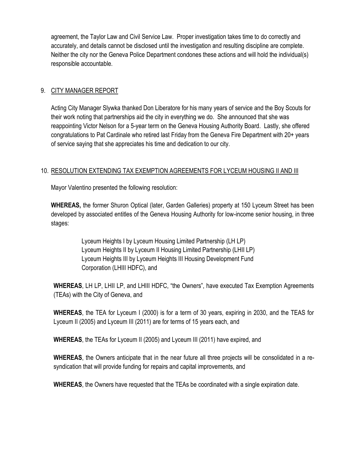agreement, the Taylor Law and Civil Service Law. Proper investigation takes time to do correctly and accurately, and details cannot be disclosed until the investigation and resulting discipline are complete. Neither the city nor the Geneva Police Department condones these actions and will hold the individual(s) responsible accountable.

### 9. CITY MANAGER REPORT

Acting City Manager Slywka thanked Don Liberatore for his many years of service and the Boy Scouts for their work noting that partnerships aid the city in everything we do. She announced that she was reappointing Victor Nelson for a 5-year term on the Geneva Housing Authority Board. Lastly, she offered congratulations to Pat Cardinale who retired last Friday from the Geneva Fire Department with 20+ years of service saying that she appreciates his time and dedication to our city.

### 10. RESOLUTION EXTENDING TAX EXEMPTION AGREEMENTS FOR LYCEUM HOUSING II AND III

Mayor Valentino presented the following resolution:

**WHEREAS,** the former Shuron Optical (later, Garden Galleries) property at 150 Lyceum Street has been developed by associated entitles of the Geneva Housing Authority for low-income senior housing, in three stages:

> Lyceum Heights I by Lyceum Housing Limited Partnership (LH LP) Lyceum Heights II by Lyceum II Housing Limited Partnership (LHII LP) Lyceum Heights III by Lyceum Heights III Housing Development Fund Corporation (LHIII HDFC), and

**WHEREAS**, LH LP, LHII LP, and LHIII HDFC, "the Owners", have executed Tax Exemption Agreements (TEAs) with the City of Geneva, and

**WHEREAS**, the TEA for Lyceum I (2000) is for a term of 30 years, expiring in 2030, and the TEAS for Lyceum II (2005) and Lyceum III (2011) are for terms of 15 years each, and

**WHEREAS**, the TEAs for Lyceum II (2005) and Lyceum III (2011) have expired, and

**WHEREAS**, the Owners anticipate that in the near future all three projects will be consolidated in a resyndication that will provide funding for repairs and capital improvements, and

**WHEREAS**, the Owners have requested that the TEAs be coordinated with a single expiration date.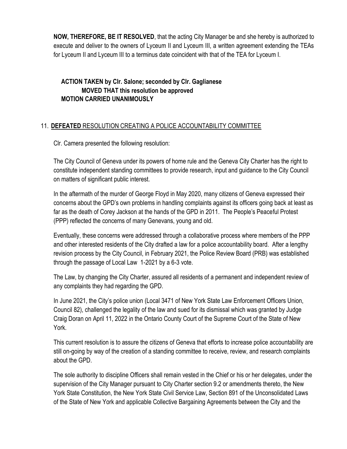**NOW, THEREFORE, BE IT RESOLVED**, that the acting City Manager be and she hereby is authorized to execute and deliver to the owners of Lyceum II and Lyceum III, a written agreement extending the TEAs for Lyceum II and Lyceum III to a terminus date coincident with that of the TEA for Lyceum I.

# **ACTION TAKEN by Clr. Salone; seconded by Clr. Gaglianese MOVED THAT this resolution be approved MOTION CARRIED UNANIMOUSLY**

# 11. **DEFEATED** RESOLUTION CREATING A POLICE ACCOUNTABILITY COMMITTEE

Clr. Camera presented the following resolution:

The City Council of Geneva under its powers of home rule and the Geneva City Charter has the right to constitute independent standing committees to provide research, input and guidance to the City Council on matters of significant public interest.

In the aftermath of the murder of George Floyd in May 2020, many citizens of Geneva expressed their concerns about the GPD's own problems in handling complaints against its officers going back at least as far as the death of Corey Jackson at the hands of the GPD in 2011. The People's Peaceful Protest (PPP) reflected the concerns of many Genevans, young and old.

Eventually, these concerns were addressed through a collaborative process where members of the PPP and other interested residents of the City drafted a law for a police accountability board. After a lengthy revision process by the City Council, in February 2021, the Police Review Board (PRB) was established through the passage of Local Law 1-2021 by a 6-3 vote.

The Law, by changing the City Charter, assured all residents of a permanent and independent review of any complaints they had regarding the GPD.

In June 2021, the City's police union (Local 3471 of New York State Law Enforcement Officers Union, Council 82), challenged the legality of the law and sued for its dismissal which was granted by Judge Craig Doran on April 11, 2022 in the Ontario County Court of the Supreme Court of the State of New York.

This current resolution is to assure the citizens of Geneva that efforts to increase police accountability are still on-going by way of the creation of a standing committee to receive, review, and research complaints about the GPD.

The sole authority to discipline Officers shall remain vested in the Chief or his or her delegates, under the supervision of the City Manager pursuant to City Charter section 9.2 or amendments thereto, the New York State Constitution, the New York State Civil Service Law, Section 891 of the Unconsolidated Laws of the State of New York and applicable Collective Bargaining Agreements between the City and the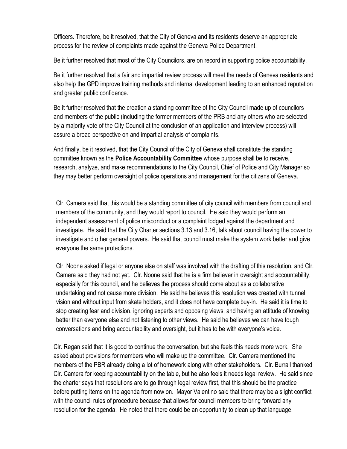Officers. Therefore, be it resolved, that the City of Geneva and its residents deserve an appropriate process for the review of complaints made against the Geneva Police Department.

Be it further resolved that most of the City Councilors. are on record in supporting police accountability.

Be it further resolved that a fair and impartial review process will meet the needs of Geneva residents and also help the GPD improve training methods and internal development leading to an enhanced reputation and greater public confidence.

Be it further resolved that the creation a standing committee of the City Council made up of councilors and members of the public (including the former members of the PRB and any others who are selected by a majority vote of the City Council at the conclusion of an application and interview process) will assure a broad perspective on and impartial analysis of complaints.

And finally, be it resolved, that the City Council of the City of Geneva shall constitute the standing committee known as the **Police Accountability Committee** whose purpose shall be to receive, research, analyze, and make recommendations to the City Council, Chief of Police and City Manager so they may better perform oversight of police operations and management for the citizens of Geneva.

Clr. Camera said that this would be a standing committee of city council with members from council and members of the community, and they would report to council. He said they would perform an independent assessment of police misconduct or a complaint lodged against the department and investigate. He said that the City Charter sections 3.13 and 3.16, talk about council having the power to investigate and other general powers. He said that council must make the system work better and give everyone the same protections.

Clr. Noone asked if legal or anyone else on staff was involved with the drafting of this resolution, and Clr. Camera said they had not yet. Clr. Noone said that he is a firm believer in oversight and accountability, especially for this council, and he believes the process should come about as a collaborative undertaking and not cause more division. He said he believes this resolution was created with tunnel vision and without input from skate holders, and it does not have complete buy-in. He said it is time to stop creating fear and division, ignoring experts and opposing views, and having an attitude of knowing better than everyone else and not listening to other views. He said he believes we can have tough conversations and bring accountability and oversight, but it has to be with everyone's voice.

Clr. Regan said that it is good to continue the conversation, but she feels this needs more work. She asked about provisions for members who will make up the committee. Clr. Camera mentioned the members of the PBR already doing a lot of homework along with other stakeholders. Clr. Burrall thanked Clr. Camera for keeping accountability on the table, but he also feels it needs legal review. He said since the charter says that resolutions are to go through legal review first, that this should be the practice before putting items on the agenda from now on. Mayor Valentino said that there may be a slight conflict with the council rules of procedure because that allows for council members to bring forward any resolution for the agenda. He noted that there could be an opportunity to clean up that language.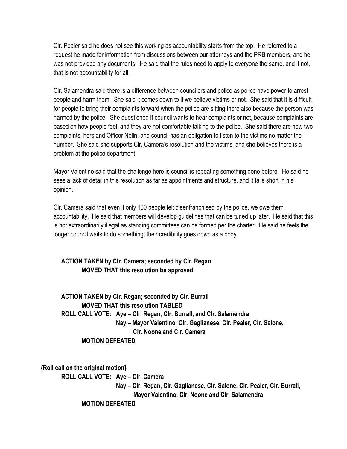Clr. Pealer said he does not see this working as accountability starts from the top. He referred to a request he made for information from discussions between our attorneys and the PRB members, and he was not provided any documents. He said that the rules need to apply to everyone the same, and if not, that is not accountability for all.

Clr. Salamendra said there is a difference between councilors and police as police have power to arrest people and harm them. She said it comes down to if we believe victims or not. She said that it is difficult for people to bring their complaints forward when the police are sitting there also because the person was harmed by the police. She questioned if council wants to hear complaints or not, because complaints are based on how people feel, and they are not comfortable talking to the police. She said there are now two complaints, hers and Officer Nolin, and council has an obligation to listen to the victims no matter the number. She said she supports Clr. Camera's resolution and the victims, and she believes there is a problem at the police department.

Mayor Valentino said that the challenge here is council is repeating something done before. He said he sees a lack of detail in this resolution as far as appointments and structure, and it falls short in his opinion.

Clr. Camera said that even if only 100 people felt disenfranchised by the police, we owe them accountability. He said that members will develop guidelines that can be tuned up later. He said that this is not extraordinarily illegal as standing committees can be formed per the charter. He said he feels the longer council waits to do something; their credibility goes down as a body.

### **ACTION TAKEN by Clr. Camera; seconded by Clr. Regan MOVED THAT this resolution be approved**

**ACTION TAKEN by Clr. Regan; seconded by Clr. Burrall MOVED THAT this resolution TABLED ROLL CALL VOTE: Aye – Clr. Regan, Clr. Burrall, and Clr. Salamendra Nay – Mayor Valentino, Clr. Gaglianese, Clr. Pealer, Clr. Salone, Clr. Noone and Clr. Camera MOTION DEFEATED**

**{Roll call on the original motion} ROLL CALL VOTE: Aye – Clr. Camera Nay – Clr. Regan, Clr. Gaglianese, Clr. Salone, Clr. Pealer, Clr. Burrall, Mayor Valentino, Clr. Noone and Clr. Salamendra MOTION DEFEATED**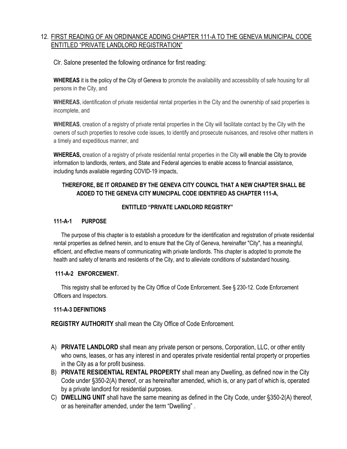### 12. FIRST READING OF AN ORDINANCE ADDING CHAPTER 111-A TO THE GENEVA MUNICIPAL CODE ENTITLED "PRIVATE LANDLORD REGISTRATION"

Clr. Salone presented the following ordinance for first reading:

**WHEREAS** it is the policy of the City of Geneva to promote the availability and accessibility of safe housing for all persons in the City, and

**WHEREAS**, identification of private residential rental properties in the City and the ownership of said properties is incomplete, and

**WHEREAS**, creation of a registry of private rental properties in the City will facilitate contact by the City with the owners of such properties to resolve code issues, to identify and prosecute nuisances, and resolve other matters in a timely and expeditious manner, and

**WHEREAS,** creation of a registry of private residential rental properties in the City will enable the City to provide information to landlords, renters, and State and Federal agencies to enable access to financial assistance, including funds available regarding COVID-19 impacts,

#### **THEREFORE, BE IT ORDAINED BY THE GENEVA CITY COUNCIL THAT A NEW CHAPTER SHALL BE ADDED TO THE GENEVA CITY MUNICIPAL CODE IDENTIFIED AS CHAPTER 111-A,**

#### **ENTITLED "PRIVATE LANDLORD REGISTRY"**

#### **111-A-1 PURPOSE**

The purpose of this chapter is to establish a procedure for the identification and registration of private residential rental properties as defined herein, and to ensure that the City of Geneva, hereinafter "City", has a meaningful, efficient, and effective means of communicating with private landlords. This chapter is adopted to promote the health and safety of tenants and residents of the City, and to alleviate conditions of substandard housing.

#### **111-A-2 ENFORCEMENT.**

This registry shall be enforced by the City Office of Code Enforcement. See § 230-12. Code Enforcement Officers and Inspectors.

#### **111-A-3 DEFINITIONS**

**REGISTRY AUTHORITY** shall mean the City Office of Code Enforcement.

- A) **PRIVATE LANDLORD** shall mean any private person or persons, Corporation, LLC, or other entity who owns, leases, or has any interest in and operates private residential rental property or properties in the City as a for profit business.
- B) **PRIVATE RESIDENTIAL RENTAL PROPERTY** shall mean any Dwelling, as defined now in the City Code under §350-2(A) thereof, or as hereinafter amended, which is, or any part of which is, operated by a private landlord for residential purposes.
- C) **DWELLING UNIT** shall have the same meaning as defined in the City Code, under §350-2(A) thereof, or as hereinafter amended, under the term "Dwelling" .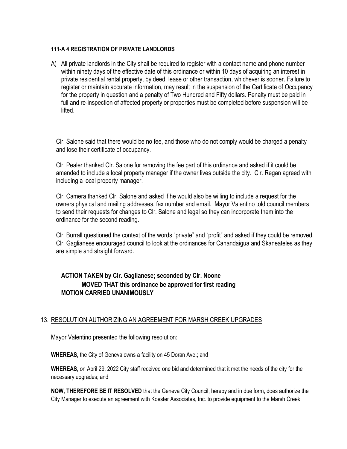#### **111-A 4 REGISTRATION OF PRIVATE LANDLORDS**

A) All private landlords in the City shall be required to register with a contact name and phone number within ninety days of the effective date of this ordinance or within 10 days of acquiring an interest in private residential rental property, by deed, lease or other transaction, whichever is sooner. Failure to register or maintain accurate information, may result in the suspension of the Certificate of Occupancy for the property in question and a penalty of Two Hundred and Fifty dollars. Penalty must be paid in full and re-inspection of affected property or properties must be completed before suspension will be lifted.

Clr. Salone said that there would be no fee, and those who do not comply would be charged a penalty and lose their certificate of occupancy.

Clr. Pealer thanked Clr. Salone for removing the fee part of this ordinance and asked if it could be amended to include a local property manager if the owner lives outside the city. Clr. Regan agreed with including a local property manager.

Clr. Camera thanked Clr. Salone and asked if he would also be willing to include a request for the owners physical and mailing addresses, fax number and email. Mayor Valentino told council members to send their requests for changes to Clr. Salone and legal so they can incorporate them into the ordinance for the second reading.

Clr. Burrall questioned the context of the words "private" and "profit" and asked if they could be removed. Clr. Gaglianese encouraged council to look at the ordinances for Canandaigua and Skaneateles as they are simple and straight forward.

# **ACTION TAKEN by Clr. Gaglianese; seconded by Clr. Noone MOVED THAT this ordinance be approved for first reading MOTION CARRIED UNANIMOUSLY**

#### 13. RESOLUTION AUTHORIZING AN AGREEMENT FOR MARSH CREEK UPGRADES

Mayor Valentino presented the following resolution:

**WHEREAS,** the City of Geneva owns a facility on 45 Doran Ave.; and

**WHEREAS,** on April 29, 2022 City staff received one bid and determined that it met the needs of the city for the necessary upgrades; and

**NOW, THEREFORE BE IT RESOLVED** that the Geneva City Council, hereby and in due form, does authorize the City Manager to execute an agreement with Koester Associates, Inc. to provide equipment to the Marsh Creek